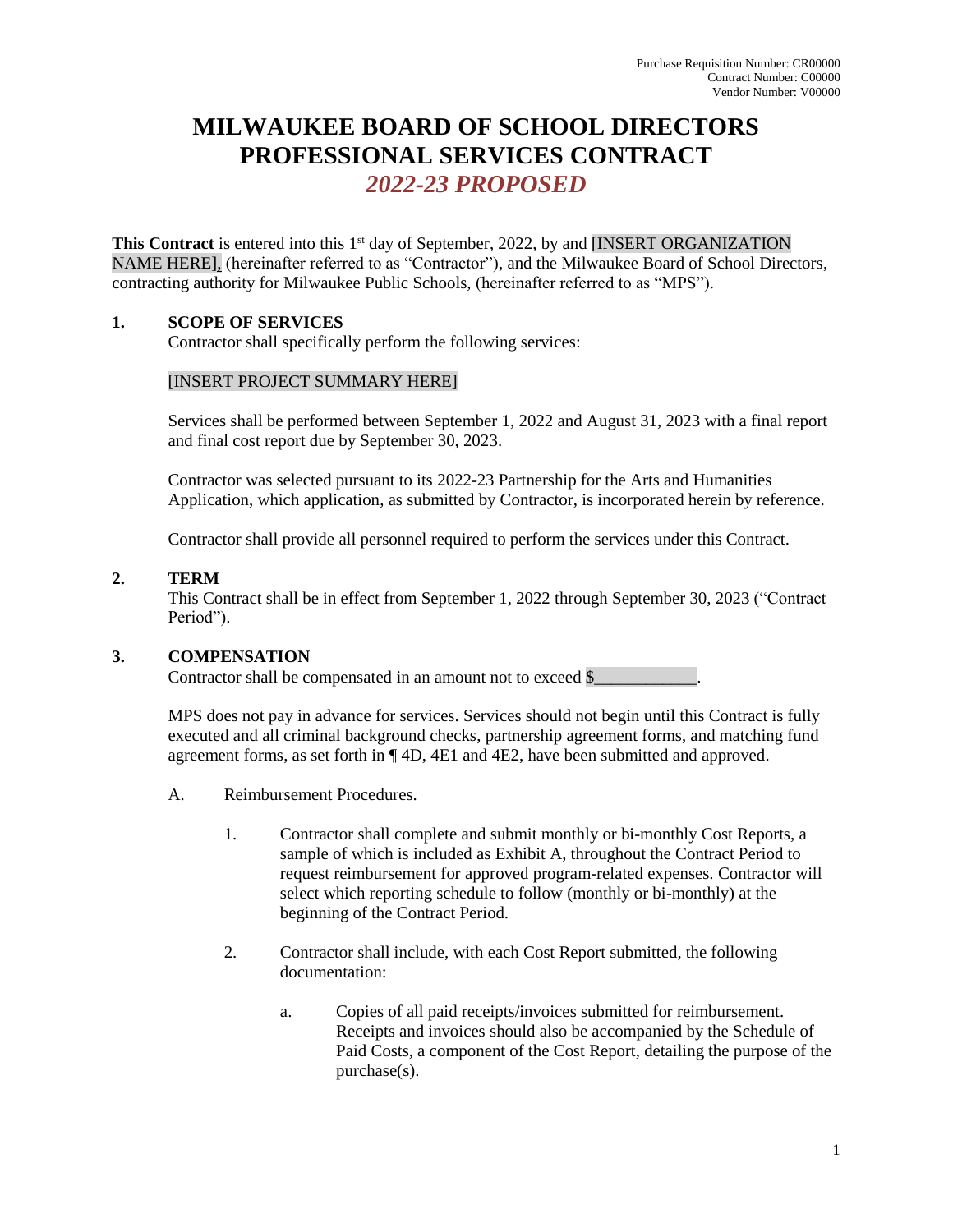# **MILWAUKEE BOARD OF SCHOOL DIRECTORS PROFESSIONAL SERVICES CONTRACT** *2022-23 PROPOSED*

This Contract is entered into this 1<sup>st</sup> day of September, 2022, by and [INSERT ORGANIZATION NAME HERE], (hereinafter referred to as "Contractor"), and the Milwaukee Board of School Directors, contracting authority for Milwaukee Public Schools, (hereinafter referred to as "MPS").

# **1. SCOPE OF SERVICES**

Contractor shall specifically perform the following services:

## [INSERT PROJECT SUMMARY HERE]

Services shall be performed between September 1, 2022 and August 31, 2023 with a final report and final cost report due by September 30, 2023.

Contractor was selected pursuant to its 2022-23 Partnership for the Arts and Humanities Application, which application, as submitted by Contractor, is incorporated herein by reference.

Contractor shall provide all personnel required to perform the services under this Contract.

## **2. TERM**

This Contract shall be in effect from September 1, 2022 through September 30, 2023 ("Contract Period").

## **3. COMPENSATION**

Contractor shall be compensated in an amount not to exceed \$

MPS does not pay in advance for services. Services should not begin until this Contract is fully executed and all criminal background checks, partnership agreement forms, and matching fund agreement forms, as set forth in ¶ 4D, 4E1 and 4E2, have been submitted and approved.

- A. Reimbursement Procedures.
	- 1. Contractor shall complete and submit monthly or bi-monthly Cost Reports, a sample of which is included as Exhibit A, throughout the Contract Period to request reimbursement for approved program-related expenses. Contractor will select which reporting schedule to follow (monthly or bi-monthly) at the beginning of the Contract Period.
	- 2. Contractor shall include, with each Cost Report submitted, the following documentation:
		- a. Copies of all paid receipts/invoices submitted for reimbursement. Receipts and invoices should also be accompanied by the Schedule of Paid Costs, a component of the Cost Report, detailing the purpose of the purchase(s).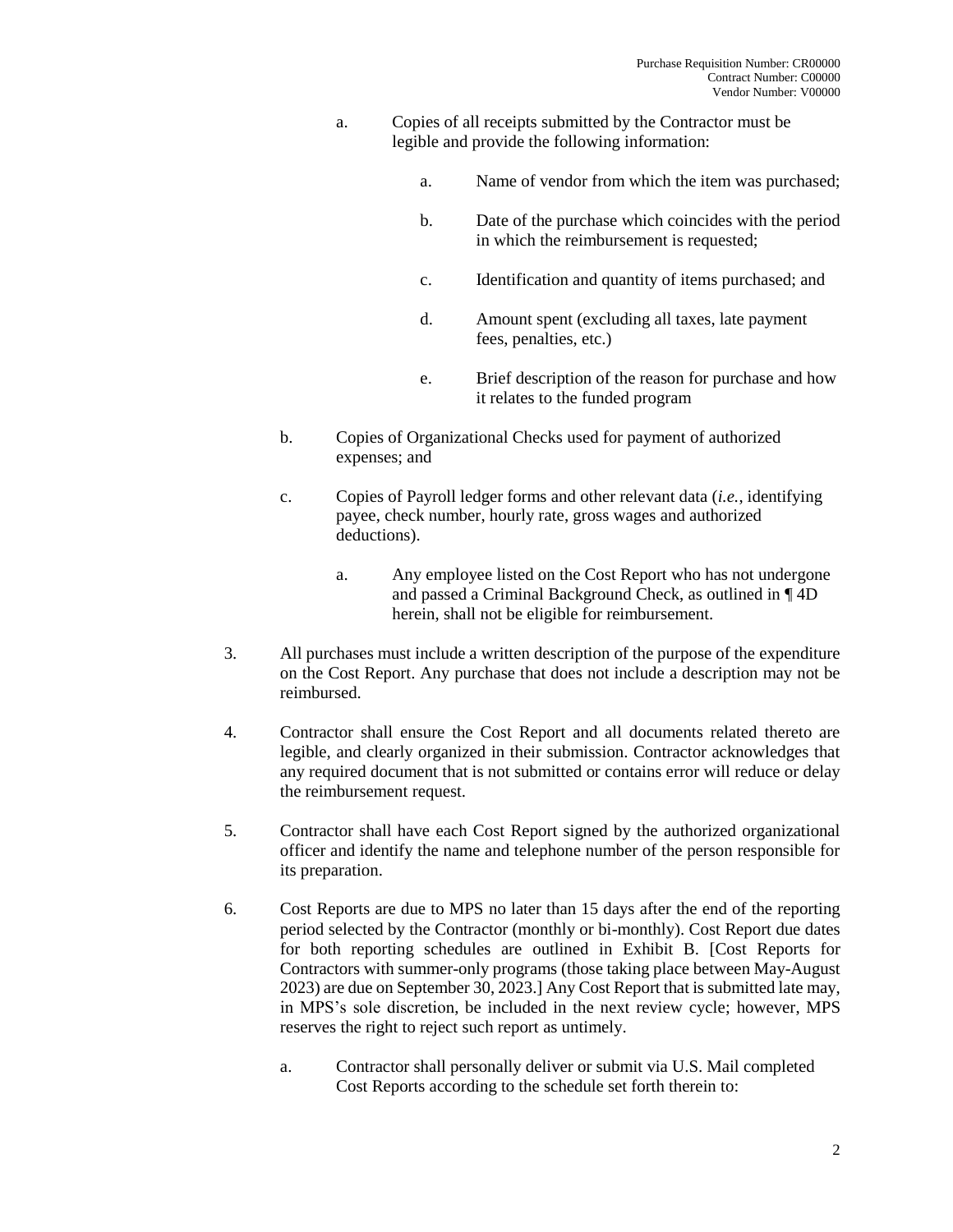- a. Copies of all receipts submitted by the Contractor must be legible and provide the following information:
	- a. Name of vendor from which the item was purchased;
	- b. Date of the purchase which coincides with the period in which the reimbursement is requested;
	- c. Identification and quantity of items purchased; and
	- d. Amount spent (excluding all taxes, late payment fees, penalties, etc.)
	- e. Brief description of the reason for purchase and how it relates to the funded program
- b. Copies of Organizational Checks used for payment of authorized expenses; and
- c. Copies of Payroll ledger forms and other relevant data (*i.e.*, identifying payee, check number, hourly rate, gross wages and authorized deductions).
	- a. Any employee listed on the Cost Report who has not undergone and passed a Criminal Background Check, as outlined in ¶ 4D herein, shall not be eligible for reimbursement.
- 3. All purchases must include a written description of the purpose of the expenditure on the Cost Report. Any purchase that does not include a description may not be reimbursed.
- 4. Contractor shall ensure the Cost Report and all documents related thereto are legible, and clearly organized in their submission. Contractor acknowledges that any required document that is not submitted or contains error will reduce or delay the reimbursement request.
- 5. Contractor shall have each Cost Report signed by the authorized organizational officer and identify the name and telephone number of the person responsible for its preparation.
- 6. Cost Reports are due to MPS no later than 15 days after the end of the reporting period selected by the Contractor (monthly or bi-monthly). Cost Report due dates for both reporting schedules are outlined in Exhibit B. [Cost Reports for Contractors with summer-only programs (those taking place between May-August 2023) are due on September 30, 2023.] Any Cost Report that is submitted late may, in MPS's sole discretion, be included in the next review cycle; however, MPS reserves the right to reject such report as untimely.
	- a. Contractor shall personally deliver or submit via U.S. Mail completed Cost Reports according to the schedule set forth therein to: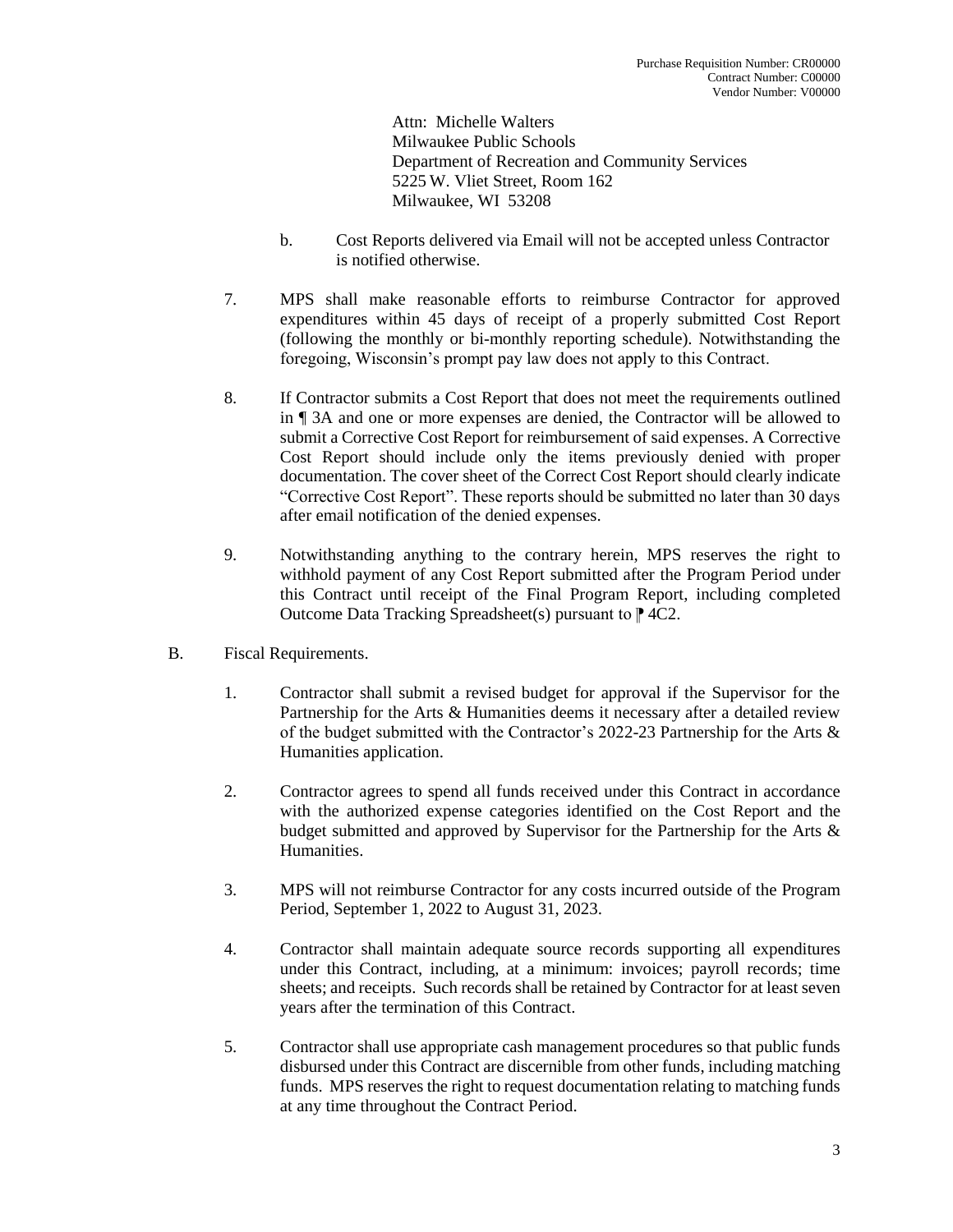Attn: Michelle Walters Milwaukee Public Schools Department of Recreation and Community Services 5225 W. Vliet Street, Room 162 Milwaukee, WI 53208

- b. Cost Reports delivered via Email will not be accepted unless Contractor is notified otherwise.
- 7. MPS shall make reasonable efforts to reimburse Contractor for approved expenditures within 45 days of receipt of a properly submitted Cost Report (following the monthly or bi-monthly reporting schedule). Notwithstanding the foregoing, Wisconsin's prompt pay law does not apply to this Contract.
- 8. If Contractor submits a Cost Report that does not meet the requirements outlined in ¶ 3A and one or more expenses are denied, the Contractor will be allowed to submit a Corrective Cost Report for reimbursement of said expenses. A Corrective Cost Report should include only the items previously denied with proper documentation. The cover sheet of the Correct Cost Report should clearly indicate "Corrective Cost Report". These reports should be submitted no later than 30 days after email notification of the denied expenses.
- 9. Notwithstanding anything to the contrary herein, MPS reserves the right to withhold payment of any Cost Report submitted after the Program Period under this Contract until receipt of the Final Program Report, including completed Outcome Data Tracking Spreadsheet(s) pursuant to  $\uparrow$  4C2.
- B. Fiscal Requirements.
	- 1. Contractor shall submit a revised budget for approval if the Supervisor for the Partnership for the Arts & Humanities deems it necessary after a detailed review of the budget submitted with the Contractor's 2022-23 Partnership for the Arts & Humanities application.
	- 2. Contractor agrees to spend all funds received under this Contract in accordance with the authorized expense categories identified on the Cost Report and the budget submitted and approved by Supervisor for the Partnership for the Arts & Humanities.
	- 3. MPS will not reimburse Contractor for any costs incurred outside of the Program Period, September 1, 2022 to August 31, 2023.
	- 4. Contractor shall maintain adequate source records supporting all expenditures under this Contract, including, at a minimum: invoices; payroll records; time sheets; and receipts. Such records shall be retained by Contractor for at least seven years after the termination of this Contract.
	- 5. Contractor shall use appropriate cash management procedures so that public funds disbursed under this Contract are discernible from other funds, including matching funds. MPS reserves the right to request documentation relating to matching funds at any time throughout the Contract Period.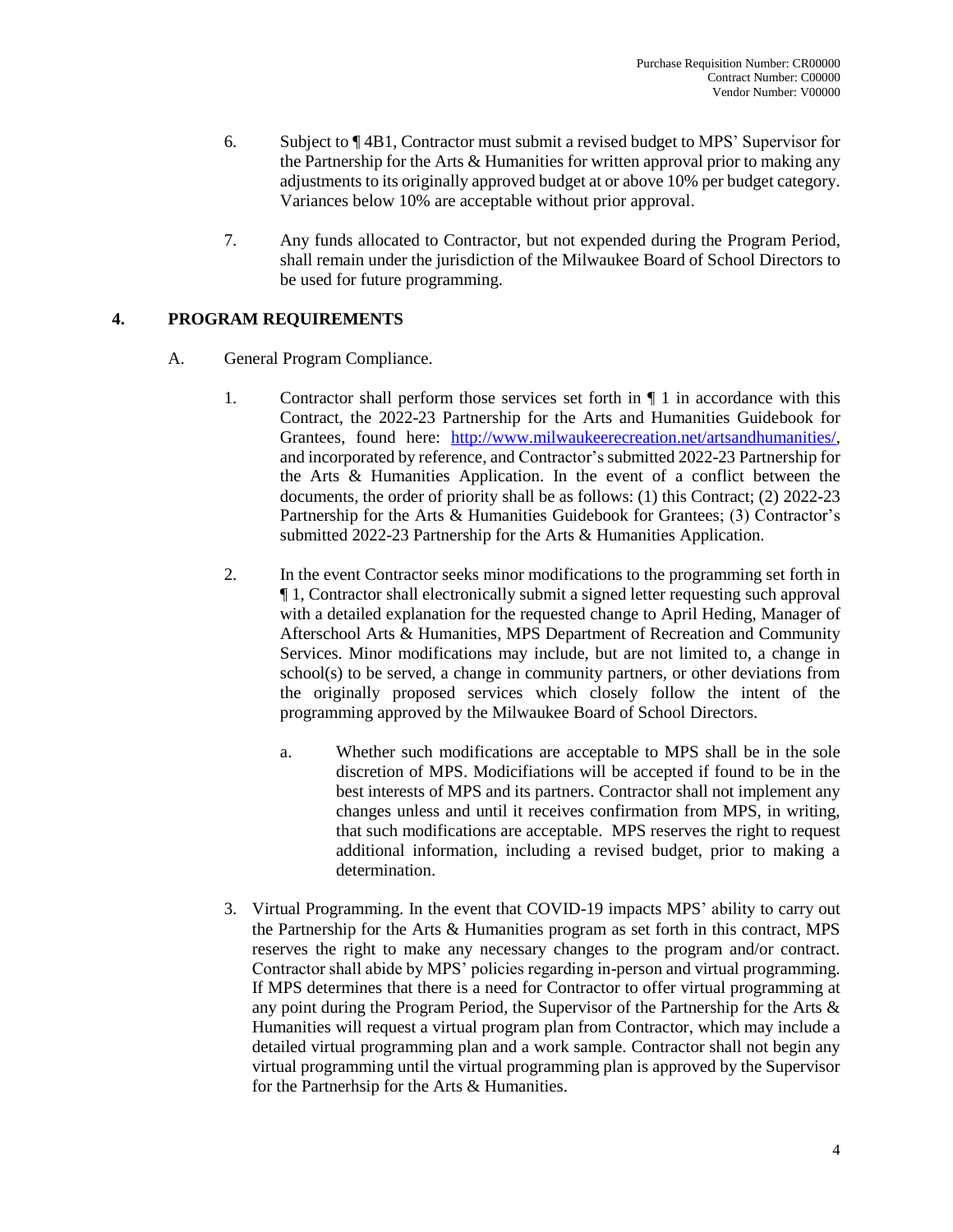- 6. Subject to ¶ 4B1, Contractor must submit a revised budget to MPS' Supervisor for the Partnership for the Arts & Humanities for written approval prior to making any adjustments to its originally approved budget at or above 10% per budget category. Variances below 10% are acceptable without prior approval.
- 7. Any funds allocated to Contractor, but not expended during the Program Period, shall remain under the jurisdiction of the Milwaukee Board of School Directors to be used for future programming.

## **4. PROGRAM REQUIREMENTS**

- A. General Program Compliance.
	- 1. Contractor shall perform those services set forth in  $\P$  1 in accordance with this Contract, the 2022-23 Partnership for the Arts and Humanities Guidebook for Grantees, found here: [http://www.milwaukeerecreation.net/artsandhumanities/,](http://www.milwaukeerecreation.net/artsandhumanities/) and incorporated by reference, and Contractor's submitted 2022-23 Partnership for the Arts & Humanities Application. In the event of a conflict between the documents, the order of priority shall be as follows: (1) this Contract; (2) 2022-23 Partnership for the Arts & Humanities Guidebook for Grantees; (3) Contractor's submitted 2022-23 Partnership for the Arts & Humanities Application.
	- 2. In the event Contractor seeks minor modifications to the programming set forth in ¶ 1, Contractor shall electronically submit a signed letter requesting such approval with a detailed explanation for the requested change to April Heding, Manager of Afterschool Arts & Humanities, MPS Department of Recreation and Community Services. Minor modifications may include, but are not limited to, a change in  $school(s)$  to be served, a change in community partners, or other deviations from the originally proposed services which closely follow the intent of the programming approved by the Milwaukee Board of School Directors.
		- a. Whether such modifications are acceptable to MPS shall be in the sole discretion of MPS. Modicifiations will be accepted if found to be in the best interests of MPS and its partners. Contractor shall not implement any changes unless and until it receives confirmation from MPS, in writing, that such modifications are acceptable. MPS reserves the right to request additional information, including a revised budget, prior to making a determination.
	- 3. Virtual Programming. In the event that COVID-19 impacts MPS' ability to carry out the Partnership for the Arts & Humanities program as set forth in this contract, MPS reserves the right to make any necessary changes to the program and/or contract. Contractor shall abide by MPS' policies regarding in-person and virtual programming. If MPS determines that there is a need for Contractor to offer virtual programming at any point during the Program Period, the Supervisor of the Partnership for the Arts & Humanities will request a virtual program plan from Contractor, which may include a detailed virtual programming plan and a work sample. Contractor shall not begin any virtual programming until the virtual programming plan is approved by the Supervisor for the Partnerhsip for the Arts & Humanities.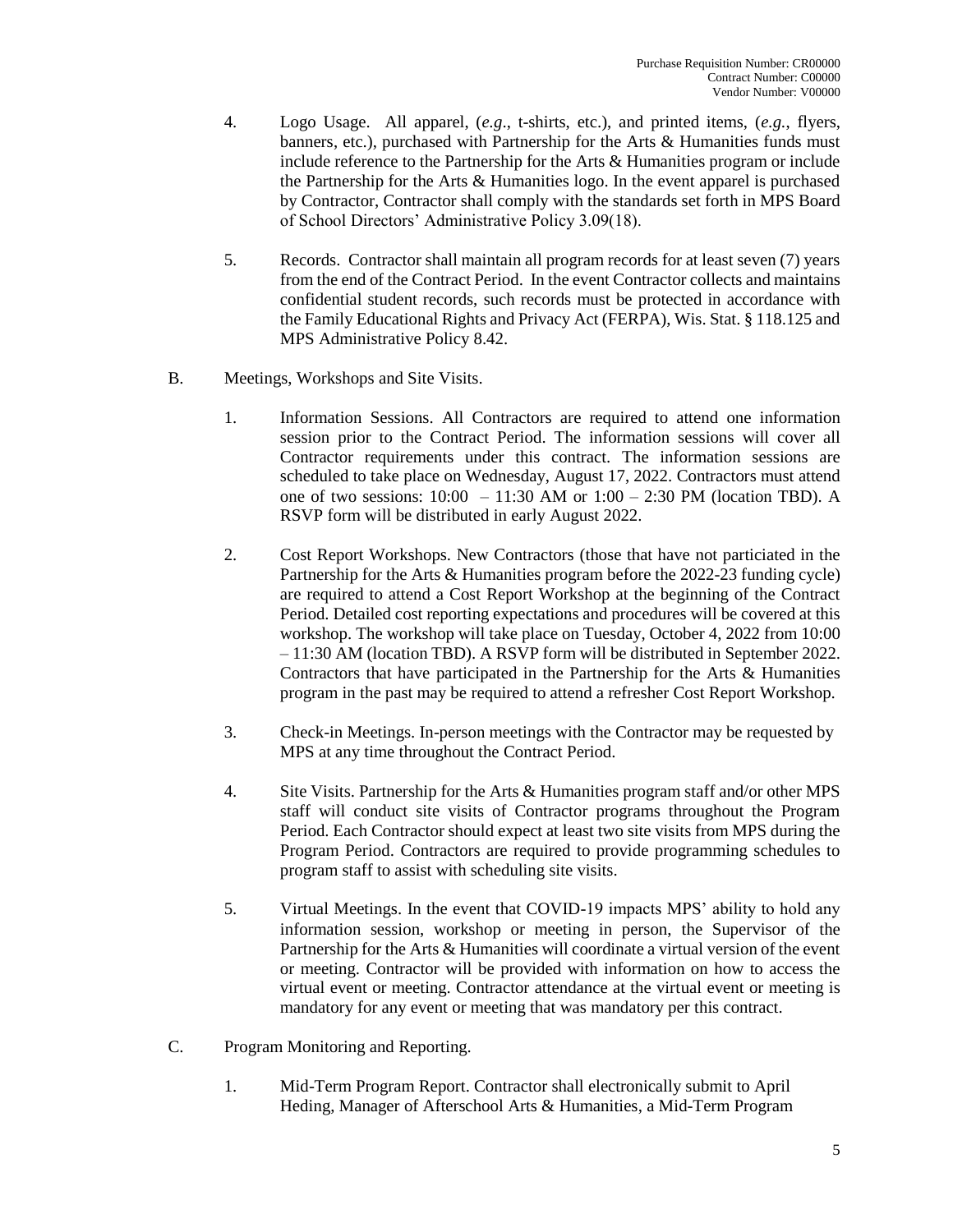- 4. Logo Usage. All apparel, (*e.g*., t-shirts, etc.), and printed items, (*e.g.*, flyers, banners, etc.), purchased with Partnership for the Arts & Humanities funds must include reference to the Partnership for the Arts & Humanities program or include the Partnership for the Arts & Humanities logo. In the event apparel is purchased by Contractor, Contractor shall comply with the standards set forth in MPS Board of School Directors' Administrative Policy 3.09(18).
- 5. Records. Contractor shall maintain all program records for at least seven (7) years from the end of the Contract Period. In the event Contractor collects and maintains confidential student records, such records must be protected in accordance with the Family Educational Rights and Privacy Act (FERPA), Wis. Stat. § 118.125 and MPS Administrative Policy 8.42.
- B. Meetings, Workshops and Site Visits.
	- 1. Information Sessions. All Contractors are required to attend one information session prior to the Contract Period. The information sessions will cover all Contractor requirements under this contract. The information sessions are scheduled to take place on Wednesday, August 17, 2022. Contractors must attend one of two sessions:  $10:00 - 11:30$  AM or  $1:00 - 2:30$  PM (location TBD). A RSVP form will be distributed in early August 2022.
	- 2. Cost Report Workshops. New Contractors (those that have not particiated in the Partnership for the Arts & Humanities program before the 2022-23 funding cycle) are required to attend a Cost Report Workshop at the beginning of the Contract Period. Detailed cost reporting expectations and procedures will be covered at this workshop. The workshop will take place on Tuesday, October 4, 2022 from 10:00 – 11:30 AM (location TBD). A RSVP form will be distributed in September 2022. Contractors that have participated in the Partnership for the Arts & Humanities program in the past may be required to attend a refresher Cost Report Workshop.
	- 3. Check-in Meetings. In-person meetings with the Contractor may be requested by MPS at any time throughout the Contract Period.
	- 4. Site Visits. Partnership for the Arts & Humanities program staff and/or other MPS staff will conduct site visits of Contractor programs throughout the Program Period. Each Contractor should expect at least two site visits from MPS during the Program Period. Contractors are required to provide programming schedules to program staff to assist with scheduling site visits.
	- 5. Virtual Meetings. In the event that COVID-19 impacts MPS' ability to hold any information session, workshop or meeting in person, the Supervisor of the Partnership for the Arts & Humanities will coordinate a virtual version of the event or meeting. Contractor will be provided with information on how to access the virtual event or meeting. Contractor attendance at the virtual event or meeting is mandatory for any event or meeting that was mandatory per this contract.
- C. Program Monitoring and Reporting.
	- 1. Mid-Term Program Report. Contractor shall electronically submit to April Heding, Manager of Afterschool Arts & Humanities, a Mid-Term Program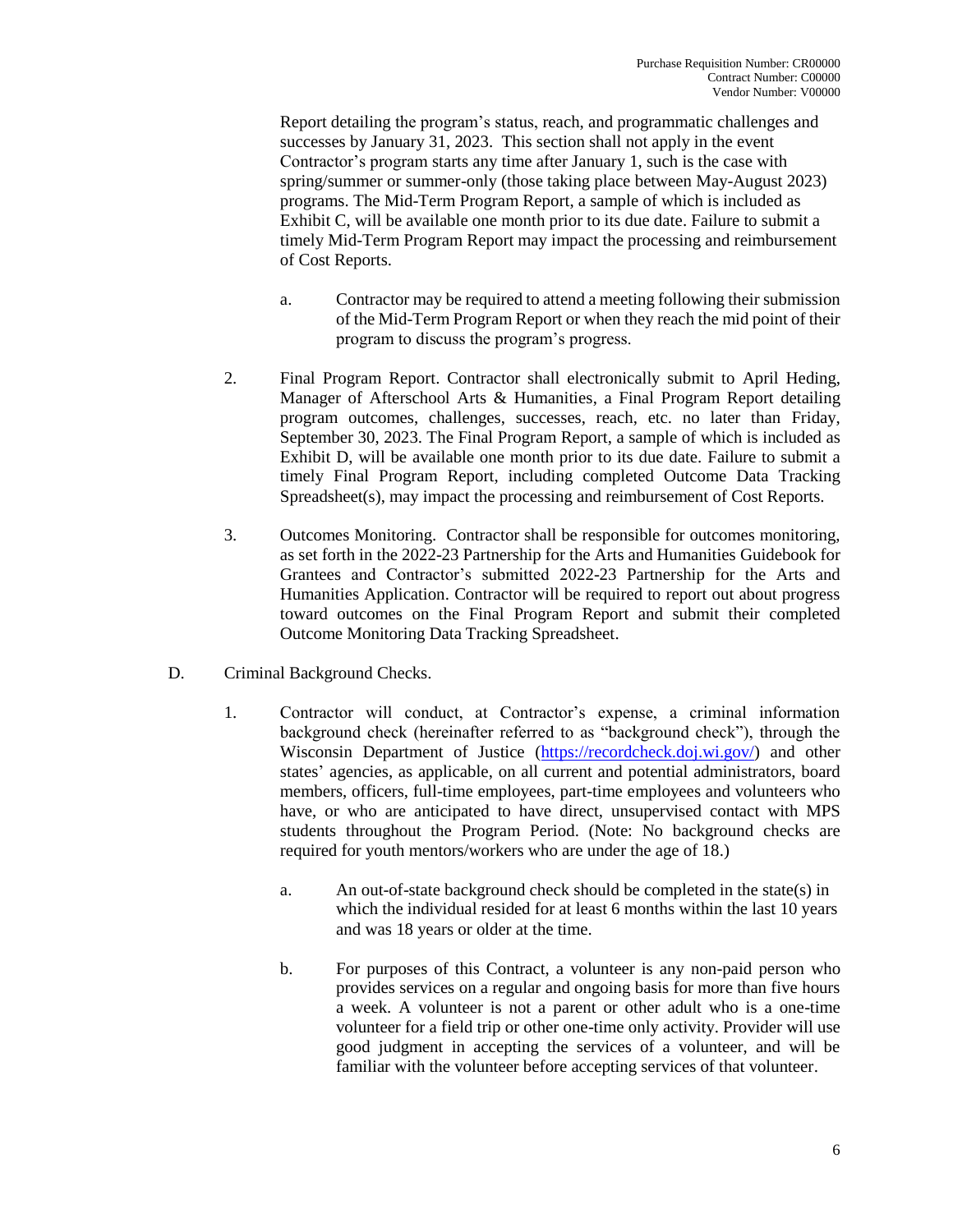Report detailing the program's status, reach, and programmatic challenges and successes by January 31, 2023. This section shall not apply in the event Contractor's program starts any time after January 1, such is the case with spring/summer or summer-only (those taking place between May-August 2023) programs. The Mid-Term Program Report, a sample of which is included as Exhibit C, will be available one month prior to its due date. Failure to submit a timely Mid-Term Program Report may impact the processing and reimbursement of Cost Reports.

- a. Contractor may be required to attend a meeting following their submission of the Mid-Term Program Report or when they reach the mid point of their program to discuss the program's progress.
- 2. Final Program Report. Contractor shall electronically submit to April Heding, Manager of Afterschool Arts & Humanities, a Final Program Report detailing program outcomes, challenges, successes, reach, etc. no later than Friday, September 30, 2023. The Final Program Report, a sample of which is included as Exhibit D, will be available one month prior to its due date. Failure to submit a timely Final Program Report, including completed Outcome Data Tracking Spreadsheet(s), may impact the processing and reimbursement of Cost Reports.
- 3. Outcomes Monitoring. Contractor shall be responsible for outcomes monitoring, as set forth in the 2022-23 Partnership for the Arts and Humanities Guidebook for Grantees and Contractor's submitted 2022-23 Partnership for the Arts and Humanities Application. Contractor will be required to report out about progress toward outcomes on the Final Program Report and submit their completed Outcome Monitoring Data Tracking Spreadsheet.
- D. Criminal Background Checks.
	- 1. Contractor will conduct, at Contractor's expense, a criminal information background check (hereinafter referred to as "background check"), through the Wisconsin Department of Justice [\(https://recordcheck.doj.wi.gov/\)](https://recordcheck.doj.wi.gov/) and other states' agencies, as applicable, on all current and potential administrators, board members, officers, full-time employees, part-time employees and volunteers who have, or who are anticipated to have direct, unsupervised contact with MPS students throughout the Program Period. (Note: No background checks are required for youth mentors/workers who are under the age of 18.)
		- a. An out-of-state background check should be completed in the state(s) in which the individual resided for at least 6 months within the last 10 years and was 18 years or older at the time.
		- b. For purposes of this Contract, a volunteer is any non-paid person who provides services on a regular and ongoing basis for more than five hours a week. A volunteer is not a parent or other adult who is a one-time volunteer for a field trip or other one-time only activity. Provider will use good judgment in accepting the services of a volunteer, and will be familiar with the volunteer before accepting services of that volunteer.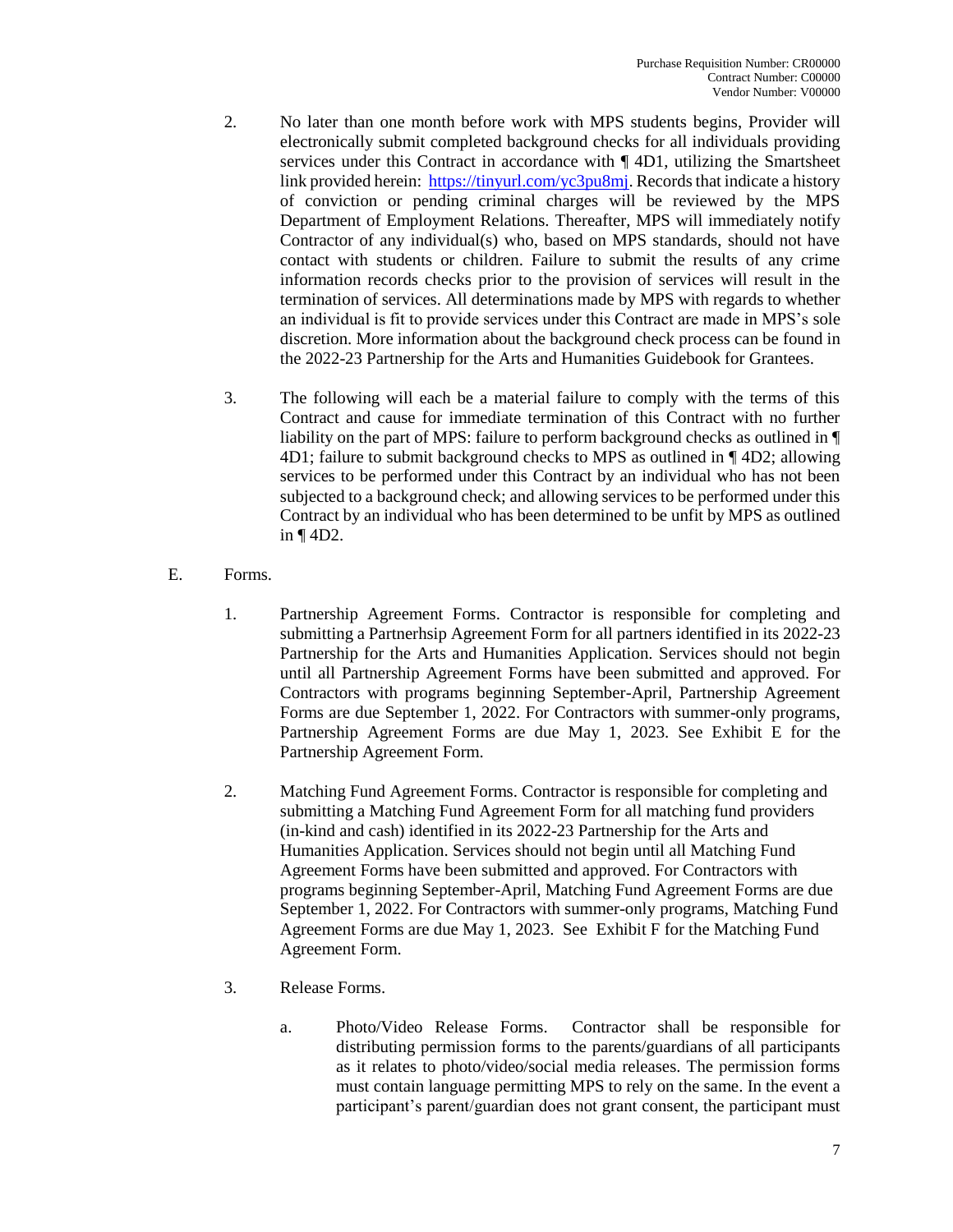- 2. No later than one month before work with MPS students begins, Provider will electronically submit completed background checks for all individuals providing services under this Contract in accordance with  $\P$  4D1, utilizing the Smartsheet link provided herein: [https://tinyurl.com/yc3pu8mj.](https://tinyurl.com/yc3pu8mj) Records that indicate a history of conviction or pending criminal charges will be reviewed by the MPS Department of Employment Relations. Thereafter, MPS will immediately notify Contractor of any individual(s) who, based on MPS standards, should not have contact with students or children. Failure to submit the results of any crime information records checks prior to the provision of services will result in the termination of services. All determinations made by MPS with regards to whether an individual is fit to provide services under this Contract are made in MPS's sole discretion. More information about the background check process can be found in the 2022-23 Partnership for the Arts and Humanities Guidebook for Grantees.
- 3. The following will each be a material failure to comply with the terms of this Contract and cause for immediate termination of this Contract with no further liability on the part of MPS: failure to perform background checks as outlined in ¶ 4D1; failure to submit background checks to MPS as outlined in ¶ 4D2; allowing services to be performed under this Contract by an individual who has not been subjected to a background check; and allowing services to be performed under this Contract by an individual who has been determined to be unfit by MPS as outlined in ¶ 4D2.
- E. Forms.
	- 1. Partnership Agreement Forms. Contractor is responsible for completing and submitting a Partnerhsip Agreement Form for all partners identified in its 2022-23 Partnership for the Arts and Humanities Application. Services should not begin until all Partnership Agreement Forms have been submitted and approved. For Contractors with programs beginning September-April, Partnership Agreement Forms are due September 1, 2022. For Contractors with summer-only programs, Partnership Agreement Forms are due May 1, 2023. See Exhibit E for the Partnership Agreement Form.
	- 2. Matching Fund Agreement Forms. Contractor is responsible for completing and submitting a Matching Fund Agreement Form for all matching fund providers (in-kind and cash) identified in its 2022-23 Partnership for the Arts and Humanities Application. Services should not begin until all Matching Fund Agreement Forms have been submitted and approved. For Contractors with programs beginning September-April, Matching Fund Agreement Forms are due September 1, 2022. For Contractors with summer-only programs, Matching Fund Agreement Forms are due May 1, 2023. See Exhibit F for the Matching Fund Agreement Form.
	- 3. Release Forms.
		- a. Photo/Video Release Forms. Contractor shall be responsible for distributing permission forms to the parents/guardians of all participants as it relates to photo/video/social media releases. The permission forms must contain language permitting MPS to rely on the same. In the event a participant's parent/guardian does not grant consent, the participant must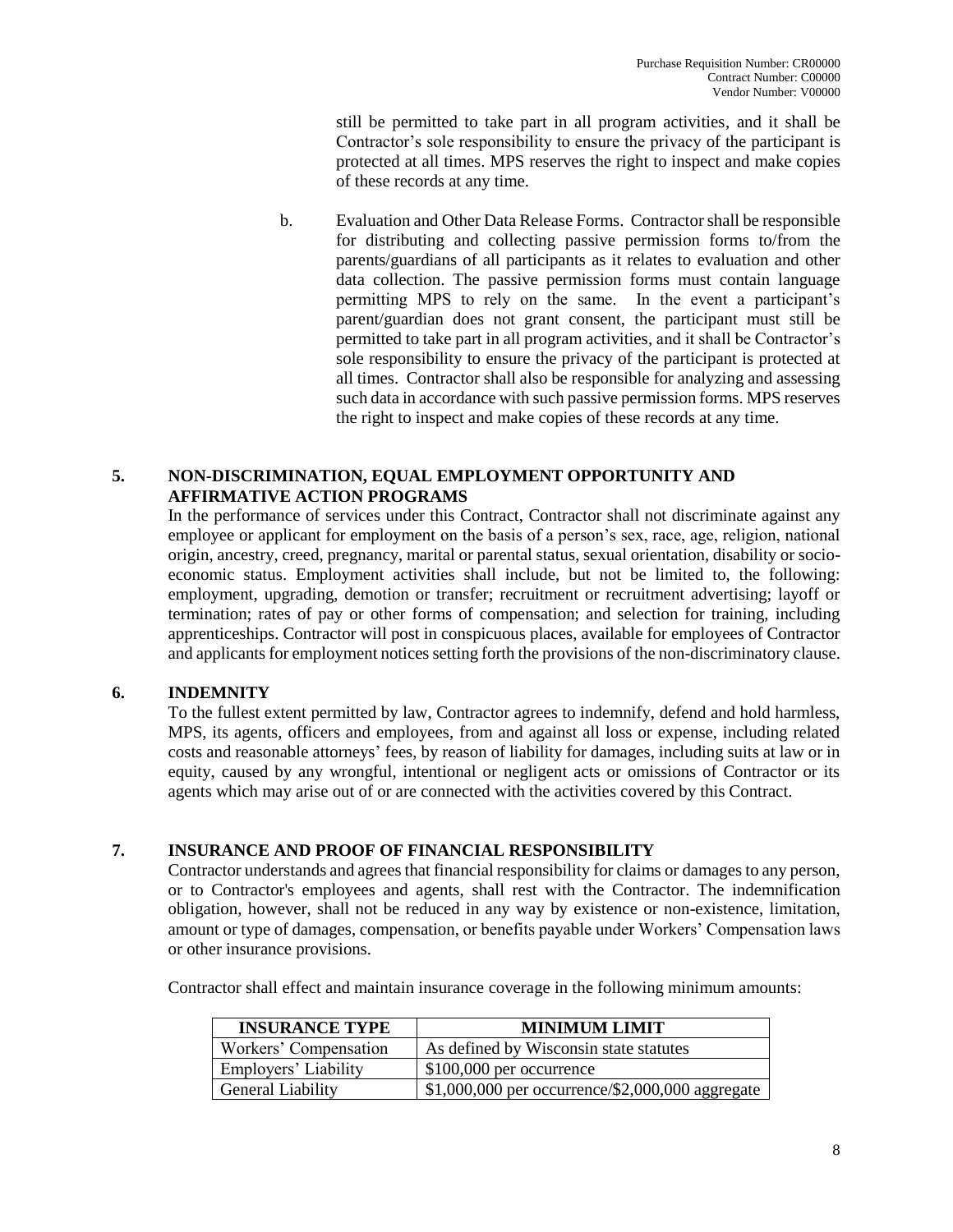still be permitted to take part in all program activities, and it shall be Contractor's sole responsibility to ensure the privacy of the participant is protected at all times. MPS reserves the right to inspect and make copies of these records at any time.

b. Evaluation and Other Data Release Forms. Contractor shall be responsible for distributing and collecting passive permission forms to/from the parents/guardians of all participants as it relates to evaluation and other data collection. The passive permission forms must contain language permitting MPS to rely on the same. In the event a participant's parent/guardian does not grant consent, the participant must still be permitted to take part in all program activities, and it shall be Contractor's sole responsibility to ensure the privacy of the participant is protected at all times. Contractor shall also be responsible for analyzing and assessing such data in accordance with such passive permission forms. MPS reserves the right to inspect and make copies of these records at any time.

# **5. NON-DISCRIMINATION, EQUAL EMPLOYMENT OPPORTUNITY AND AFFIRMATIVE ACTION PROGRAMS**

In the performance of services under this Contract, Contractor shall not discriminate against any employee or applicant for employment on the basis of a person's sex, race, age, religion, national origin, ancestry, creed, pregnancy, marital or parental status, sexual orientation, disability or socioeconomic status. Employment activities shall include, but not be limited to, the following: employment, upgrading, demotion or transfer; recruitment or recruitment advertising; layoff or termination; rates of pay or other forms of compensation; and selection for training, including apprenticeships. Contractor will post in conspicuous places, available for employees of Contractor and applicants for employment notices setting forth the provisions of the non-discriminatory clause.

# **6. INDEMNITY**

To the fullest extent permitted by law, Contractor agrees to indemnify, defend and hold harmless, MPS, its agents, officers and employees, from and against all loss or expense, including related costs and reasonable attorneys' fees, by reason of liability for damages, including suits at law or in equity, caused by any wrongful, intentional or negligent acts or omissions of Contractor or its agents which may arise out of or are connected with the activities covered by this Contract.

# **7. INSURANCE AND PROOF OF FINANCIAL RESPONSIBILITY**

Contractor understands and agrees that financial responsibility for claims or damages to any person, or to Contractor's employees and agents, shall rest with the Contractor. The indemnification obligation, however, shall not be reduced in any way by existence or non-existence, limitation, amount or type of damages, compensation, or benefits payable under Workers' Compensation laws or other insurance provisions.

Contractor shall effect and maintain insurance coverage in the following minimum amounts:

| <b>INSURANCE TYPE</b>    | <b>MINIMUM LIMIT</b>                              |
|--------------------------|---------------------------------------------------|
| Workers' Compensation    | As defined by Wisconsin state statutes            |
| Employers' Liability     | $$100,000$ per occurrence                         |
| <b>General Liability</b> | $$1,000,000$ per occurrence/\$2,000,000 aggregate |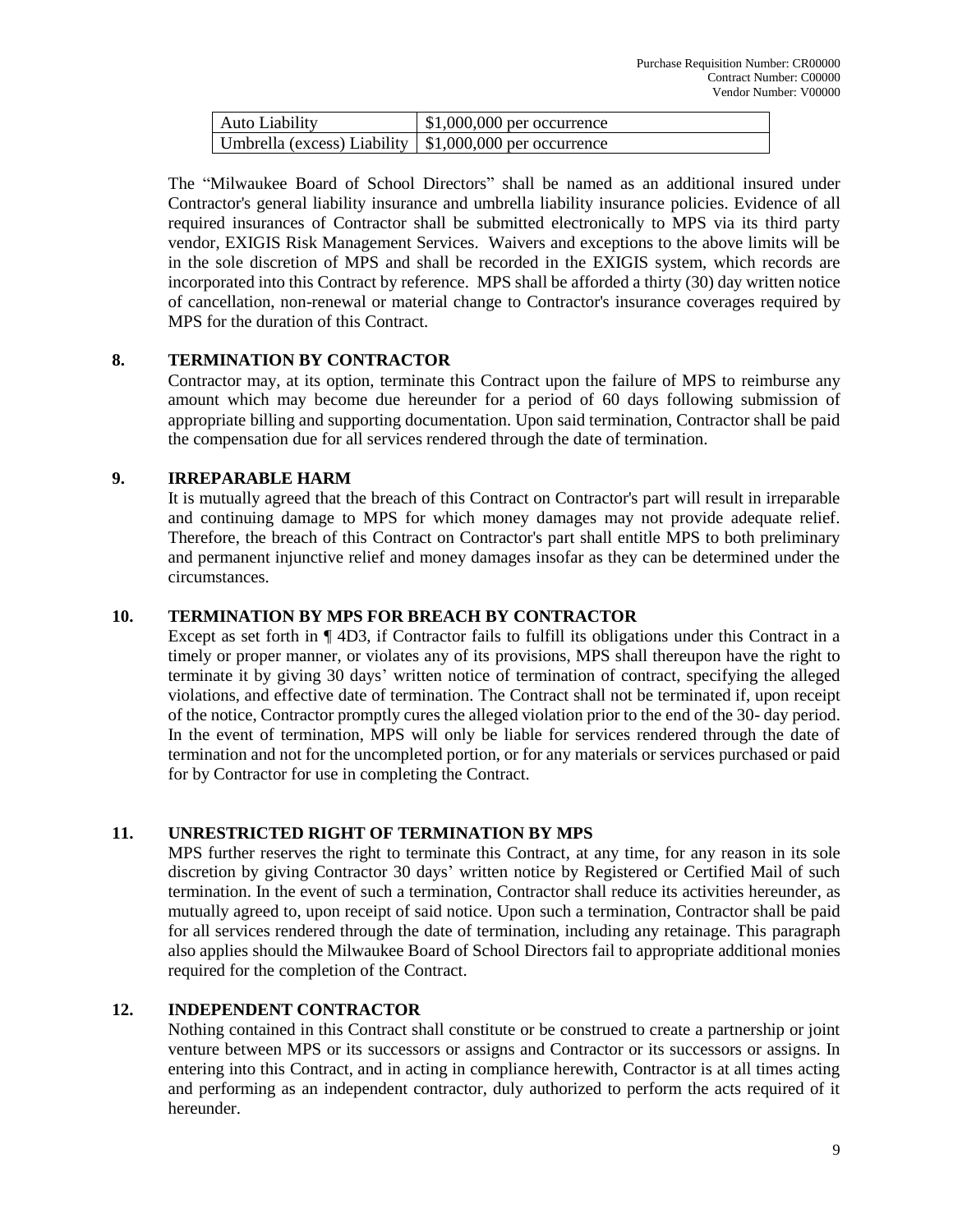| Auto Liability                                            | $\uparrow$ \$1,000,000 per occurrence |
|-----------------------------------------------------------|---------------------------------------|
| Umbrella (excess) Liability   $$1,000,000$ per occurrence |                                       |

The "Milwaukee Board of School Directors" shall be named as an additional insured under Contractor's general liability insurance and umbrella liability insurance policies. Evidence of all required insurances of Contractor shall be submitted electronically to MPS via its third party vendor, EXIGIS Risk Management Services. Waivers and exceptions to the above limits will be in the sole discretion of MPS and shall be recorded in the EXIGIS system, which records are incorporated into this Contract by reference. MPS shall be afforded a thirty (30) day written notice of cancellation, non-renewal or material change to Contractor's insurance coverages required by MPS for the duration of this Contract.

## **8. TERMINATION BY CONTRACTOR**

Contractor may, at its option, terminate this Contract upon the failure of MPS to reimburse any amount which may become due hereunder for a period of 60 days following submission of appropriate billing and supporting documentation. Upon said termination, Contractor shall be paid the compensation due for all services rendered through the date of termination.

## **9. IRREPARABLE HARM**

It is mutually agreed that the breach of this Contract on Contractor's part will result in irreparable and continuing damage to MPS for which money damages may not provide adequate relief. Therefore, the breach of this Contract on Contractor's part shall entitle MPS to both preliminary and permanent injunctive relief and money damages insofar as they can be determined under the circumstances.

## **10. TERMINATION BY MPS FOR BREACH BY CONTRACTOR**

Except as set forth in ¶ 4D3, if Contractor fails to fulfill its obligations under this Contract in a timely or proper manner, or violates any of its provisions, MPS shall thereupon have the right to terminate it by giving 30 days' written notice of termination of contract, specifying the alleged violations, and effective date of termination. The Contract shall not be terminated if, upon receipt of the notice, Contractor promptly cures the alleged violation prior to the end of the 30- day period. In the event of termination, MPS will only be liable for services rendered through the date of termination and not for the uncompleted portion, or for any materials or services purchased or paid for by Contractor for use in completing the Contract.

# **11. UNRESTRICTED RIGHT OF TERMINATION BY MPS**

MPS further reserves the right to terminate this Contract, at any time, for any reason in its sole discretion by giving Contractor 30 days' written notice by Registered or Certified Mail of such termination. In the event of such a termination, Contractor shall reduce its activities hereunder, as mutually agreed to, upon receipt of said notice. Upon such a termination, Contractor shall be paid for all services rendered through the date of termination, including any retainage. This paragraph also applies should the Milwaukee Board of School Directors fail to appropriate additional monies required for the completion of the Contract.

## **12. INDEPENDENT CONTRACTOR**

Nothing contained in this Contract shall constitute or be construed to create a partnership or joint venture between MPS or its successors or assigns and Contractor or its successors or assigns. In entering into this Contract, and in acting in compliance herewith, Contractor is at all times acting and performing as an independent contractor, duly authorized to perform the acts required of it hereunder.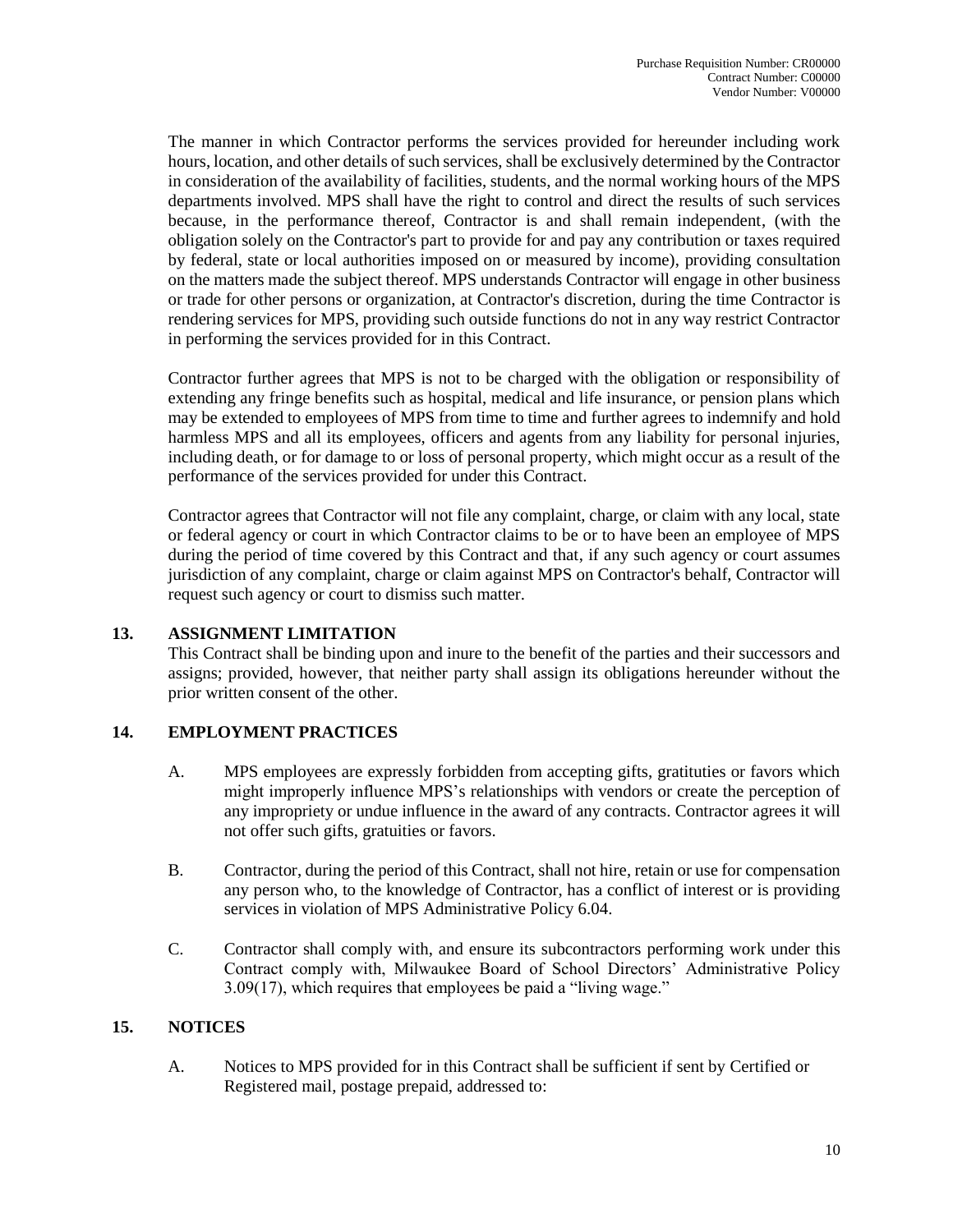The manner in which Contractor performs the services provided for hereunder including work hours, location, and other details of such services, shall be exclusively determined by the Contractor in consideration of the availability of facilities, students, and the normal working hours of the MPS departments involved. MPS shall have the right to control and direct the results of such services because, in the performance thereof, Contractor is and shall remain independent, (with the obligation solely on the Contractor's part to provide for and pay any contribution or taxes required by federal, state or local authorities imposed on or measured by income), providing consultation on the matters made the subject thereof. MPS understands Contractor will engage in other business or trade for other persons or organization, at Contractor's discretion, during the time Contractor is rendering services for MPS, providing such outside functions do not in any way restrict Contractor in performing the services provided for in this Contract.

Contractor further agrees that MPS is not to be charged with the obligation or responsibility of extending any fringe benefits such as hospital, medical and life insurance, or pension plans which may be extended to employees of MPS from time to time and further agrees to indemnify and hold harmless MPS and all its employees, officers and agents from any liability for personal injuries, including death, or for damage to or loss of personal property, which might occur as a result of the performance of the services provided for under this Contract.

Contractor agrees that Contractor will not file any complaint, charge, or claim with any local, state or federal agency or court in which Contractor claims to be or to have been an employee of MPS during the period of time covered by this Contract and that, if any such agency or court assumes jurisdiction of any complaint, charge or claim against MPS on Contractor's behalf, Contractor will request such agency or court to dismiss such matter.

# **13. ASSIGNMENT LIMITATION**

This Contract shall be binding upon and inure to the benefit of the parties and their successors and assigns; provided, however, that neither party shall assign its obligations hereunder without the prior written consent of the other.

# **14. EMPLOYMENT PRACTICES**

- A. MPS employees are expressly forbidden from accepting gifts, gratituties or favors which might improperly influence MPS's relationships with vendors or create the perception of any impropriety or undue influence in the award of any contracts. Contractor agrees it will not offer such gifts, gratuities or favors.
- B. Contractor, during the period of this Contract, shall not hire, retain or use for compensation any person who, to the knowledge of Contractor, has a conflict of interest or is providing services in violation of MPS Administrative Policy 6.04.
- C. Contractor shall comply with, and ensure its subcontractors performing work under this Contract comply with, Milwaukee Board of School Directors' Administrative Policy 3.09(17), which requires that employees be paid a "living wage."

## **15. NOTICES**

A. Notices to MPS provided for in this Contract shall be sufficient if sent by Certified or Registered mail, postage prepaid, addressed to: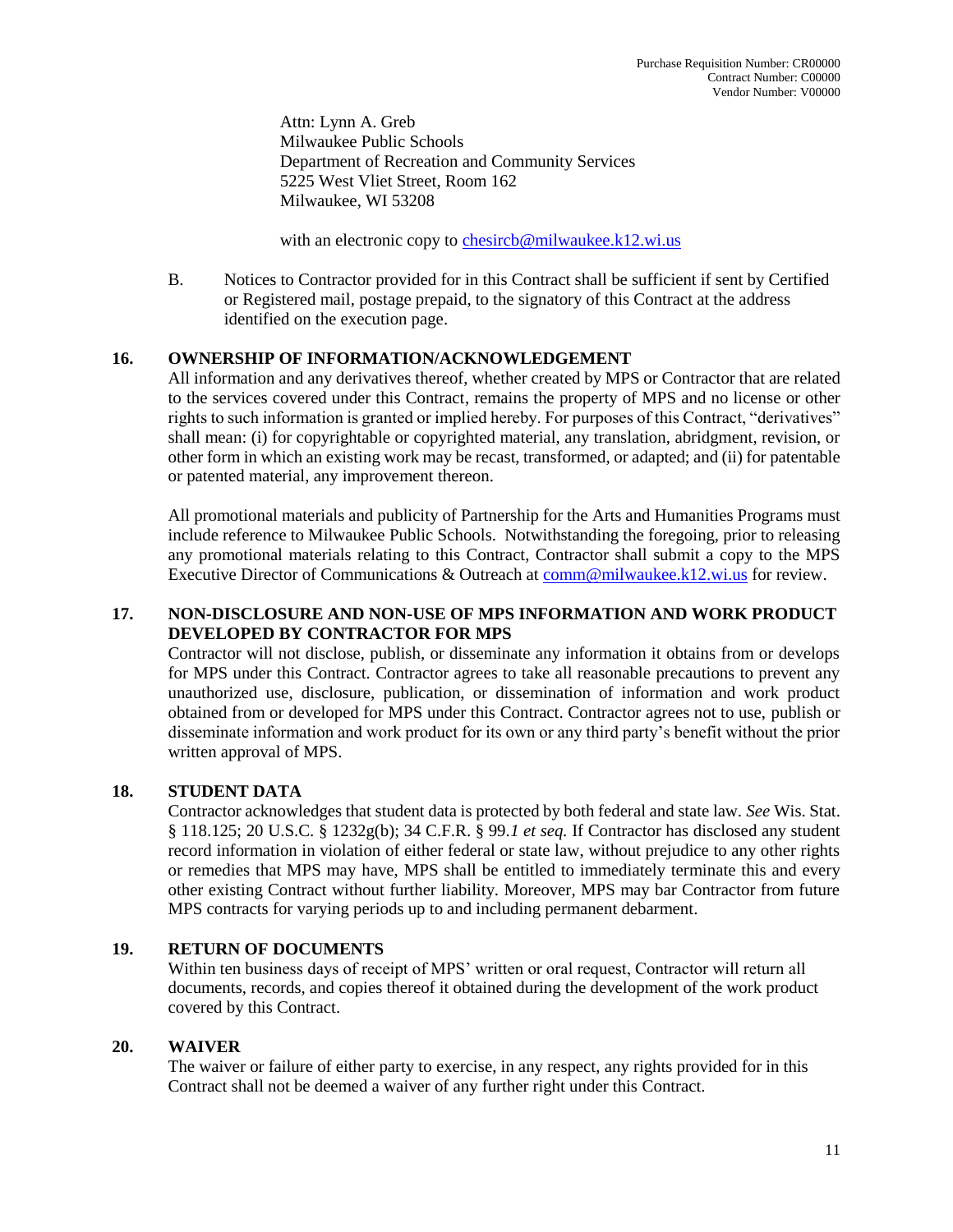Attn: Lynn A. Greb Milwaukee Public Schools Department of Recreation and Community Services 5225 West Vliet Street, Room 162 Milwaukee, WI 53208

with an electronic copy to [chesircb@milwaukee.k12.wi.us](mailto:chesircb@milwaukee.k12.wi.us)

B. Notices to Contractor provided for in this Contract shall be sufficient if sent by Certified or Registered mail, postage prepaid, to the signatory of this Contract at the address identified on the execution page.

## **16. OWNERSHIP OF INFORMATION/ACKNOWLEDGEMENT**

All information and any derivatives thereof, whether created by MPS or Contractor that are related to the services covered under this Contract, remains the property of MPS and no license or other rights to such information is granted or implied hereby. For purposes of this Contract, "derivatives" shall mean: (i) for copyrightable or copyrighted material, any translation, abridgment, revision, or other form in which an existing work may be recast, transformed, or adapted; and (ii) for patentable or patented material, any improvement thereon.

All promotional materials and publicity of Partnership for the Arts and Humanities Programs must include reference to Milwaukee Public Schools. Notwithstanding the foregoing, prior to releasing any promotional materials relating to this Contract, Contractor shall submit a copy to the MPS Executive Director of Communications & Outreach at [comm@milwaukee.k12.wi.us](mailto:comm@milwaukee.k12.wi.us) for review.

## **17. NON-DISCLOSURE AND NON-USE OF MPS INFORMATION AND WORK PRODUCT DEVELOPED BY CONTRACTOR FOR MPS**

Contractor will not disclose, publish, or disseminate any information it obtains from or develops for MPS under this Contract. Contractor agrees to take all reasonable precautions to prevent any unauthorized use, disclosure, publication, or dissemination of information and work product obtained from or developed for MPS under this Contract. Contractor agrees not to use, publish or disseminate information and work product for its own or any third party's benefit without the prior written approval of MPS.

## **18. STUDENT DATA**

Contractor acknowledges that student data is protected by both federal and state law. *See* Wis. Stat. § 118.125; 20 U.S.C. § 1232g(b); 34 C.F.R. § 99.*1 et seq.* If Contractor has disclosed any student record information in violation of either federal or state law, without prejudice to any other rights or remedies that MPS may have, MPS shall be entitled to immediately terminate this and every other existing Contract without further liability. Moreover, MPS may bar Contractor from future MPS contracts for varying periods up to and including permanent debarment.

## **19. RETURN OF DOCUMENTS**

Within ten business days of receipt of MPS' written or oral request, Contractor will return all documents, records, and copies thereof it obtained during the development of the work product covered by this Contract.

## **20. WAIVER**

The waiver or failure of either party to exercise, in any respect, any rights provided for in this Contract shall not be deemed a waiver of any further right under this Contract.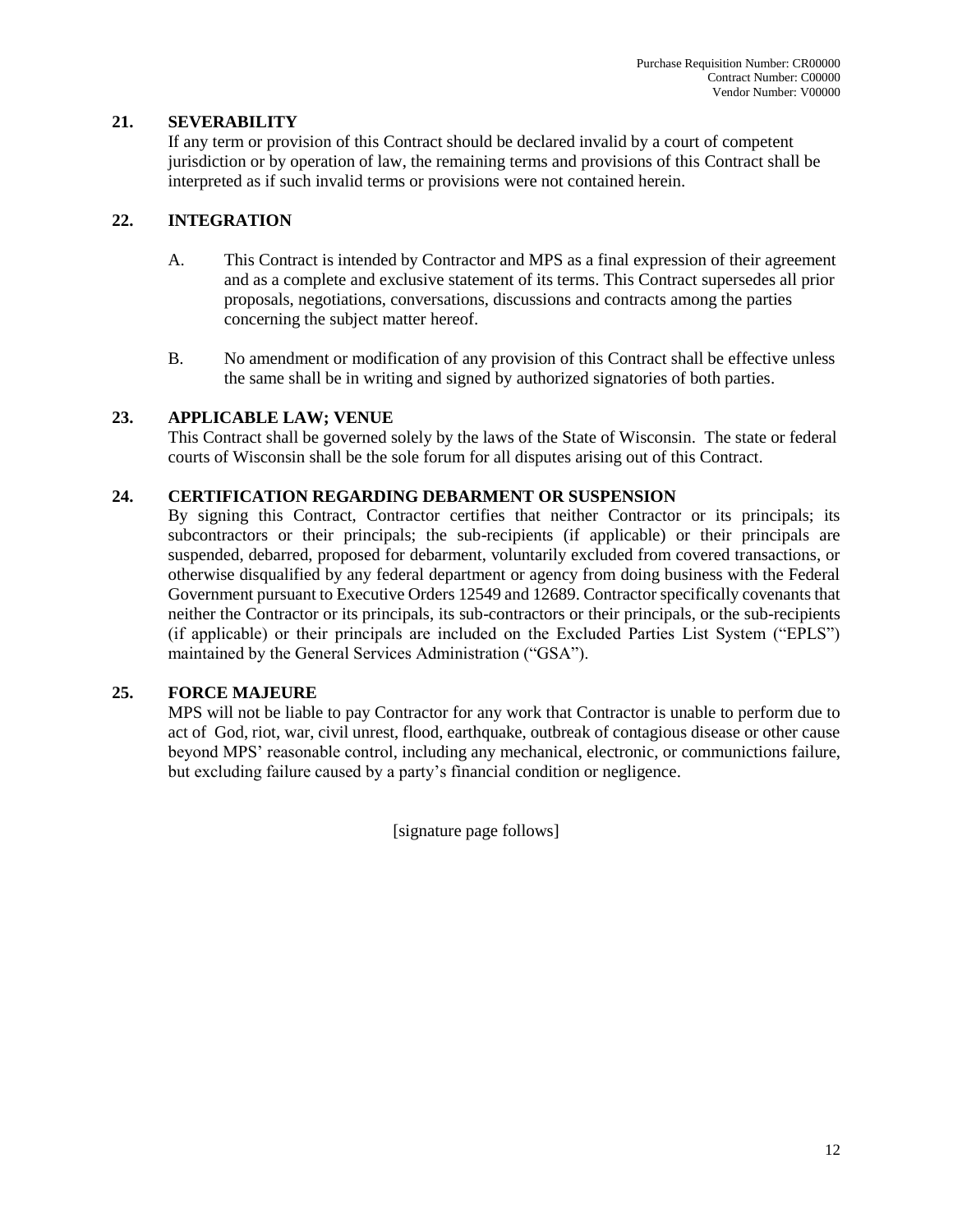## **21. SEVERABILITY**

If any term or provision of this Contract should be declared invalid by a court of competent jurisdiction or by operation of law, the remaining terms and provisions of this Contract shall be interpreted as if such invalid terms or provisions were not contained herein.

## **22. INTEGRATION**

- A. This Contract is intended by Contractor and MPS as a final expression of their agreement and as a complete and exclusive statement of its terms. This Contract supersedes all prior proposals, negotiations, conversations, discussions and contracts among the parties concerning the subject matter hereof.
- B. No amendment or modification of any provision of this Contract shall be effective unless the same shall be in writing and signed by authorized signatories of both parties.

## **23. APPLICABLE LAW; VENUE**

This Contract shall be governed solely by the laws of the State of Wisconsin. The state or federal courts of Wisconsin shall be the sole forum for all disputes arising out of this Contract.

## **24. CERTIFICATION REGARDING DEBARMENT OR SUSPENSION**

By signing this Contract, Contractor certifies that neither Contractor or its principals; its subcontractors or their principals; the sub-recipients (if applicable) or their principals are suspended, debarred, proposed for debarment, voluntarily excluded from covered transactions, or otherwise disqualified by any federal department or agency from doing business with the Federal Government pursuant to Executive Orders 12549 and 12689. Contractor specifically covenants that neither the Contractor or its principals, its sub-contractors or their principals, or the sub-recipients (if applicable) or their principals are included on the Excluded Parties List System ("EPLS") maintained by the General Services Administration ("GSA").

# **25. FORCE MAJEURE**

MPS will not be liable to pay Contractor for any work that Contractor is unable to perform due to act of God, riot, war, civil unrest, flood, earthquake, outbreak of contagious disease or other cause beyond MPS' reasonable control, including any mechanical, electronic, or communictions failure, but excluding failure caused by a party's financial condition or negligence.

[signature page follows]